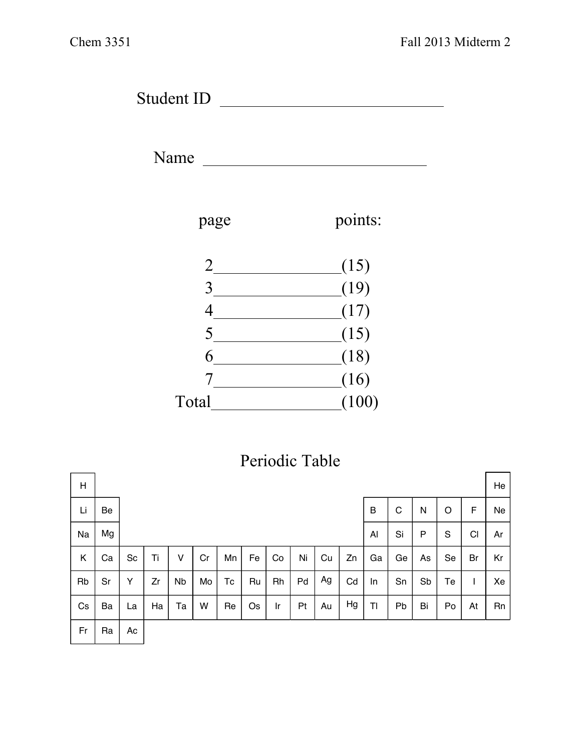Student ID

Name



## Periodic Table

| H  |    |    |    |           |    |    |    |    |    |    |    |    |    |    |    |    | He |
|----|----|----|----|-----------|----|----|----|----|----|----|----|----|----|----|----|----|----|
| Li | Be |    |    |           |    |    |    |    |    |    |    | B  | C  | N  | O  | F  | Ne |
| Na | Mg |    |    |           |    |    |    |    |    |    |    | Al | Si | P  | S  | CI | Ar |
| Κ  | Ca | Sc | Ti | v         | Cr | Mn | Fe | Co | Ni | Cu | Zn | Ga | Ge | As | Se | Br | Kr |
| Rb | Sr | Y  | Zr | <b>Nb</b> | Mo | Тc | Ru | Rh | Pd | Ag | Cd | In | Sn | Sb | Te |    | Xe |
| Cs | Ba | La | Ha | Та        | W  | Re | Os | Ir | Pt | Au | Hg | TI | Pb | Bi | Po | At | Rn |
| Fr | Ra | Ac |    |           |    |    |    |    |    |    |    |    |    |    |    |    |    |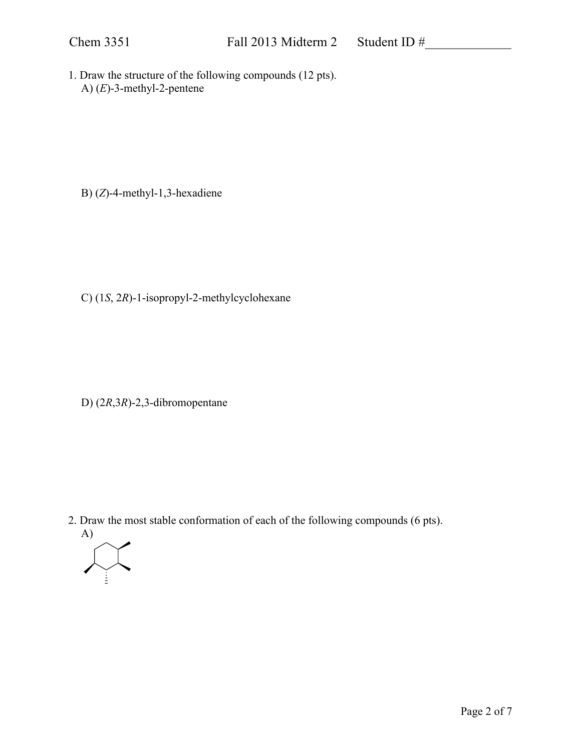1. Draw the structure of the following compounds (12 pts). A) (*E*)-3-methyl-2-pentene

B) (*Z*)-4-methyl-1,3-hexadiene

C) (1*S*, 2*R*)-1-isopropyl-2-methylcyclohexane

D) (2*R*,3*R*)-2,3-dibromopentane

2. Draw the most stable conformation of each of the following compounds (6 pts).

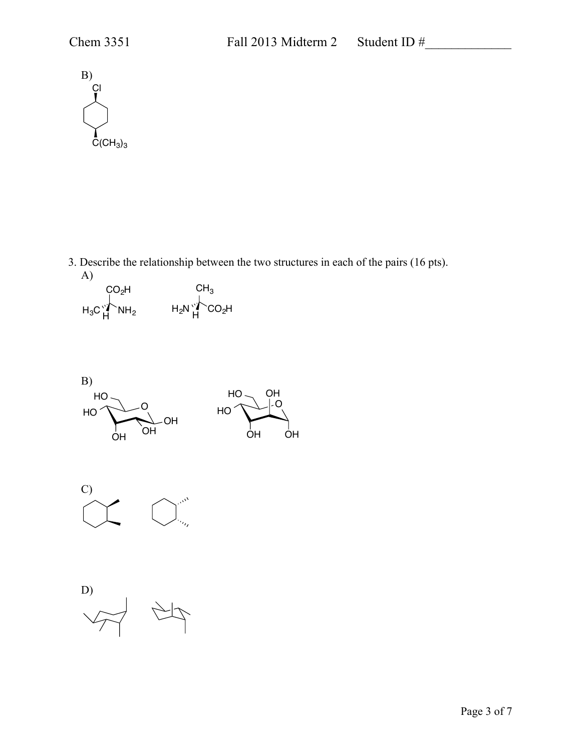

3. Describe the relationship between the two structures in each of the pairs (16 pts). A)

 $\rm CO_2$ H  $H_3C_H^{V}$  NH<sub>2</sub>  $\mathsf{CH}_3$  $H_2N$   $H$   $CO_2H$ 





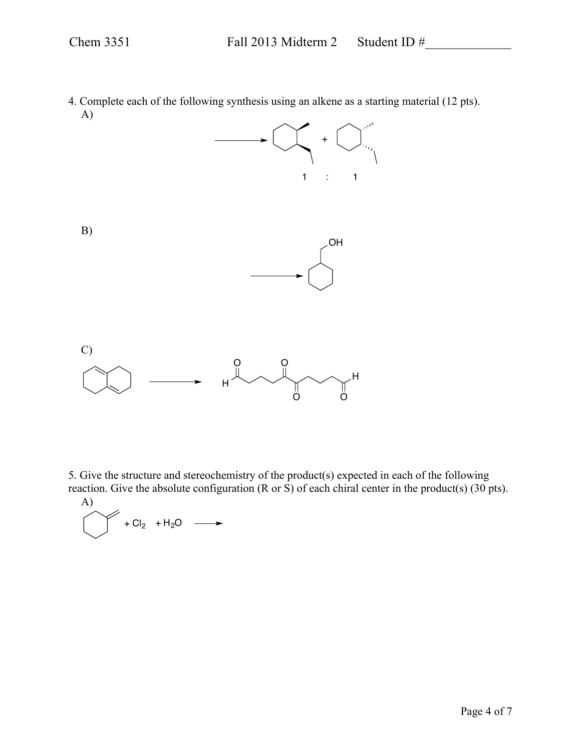4. Complete each of the following synthesis using an alkene as a starting material (12 pts). A)



5. Give the structure and stereochemistry of the product(s) expected in each of the following reaction. Give the absolute configuration  $(R \text{ or } S)$  of each chiral center in the product(s)  $(30 \text{ pts})$ .

A)  

$$
+Cl_2 + H_2O \longrightarrow
$$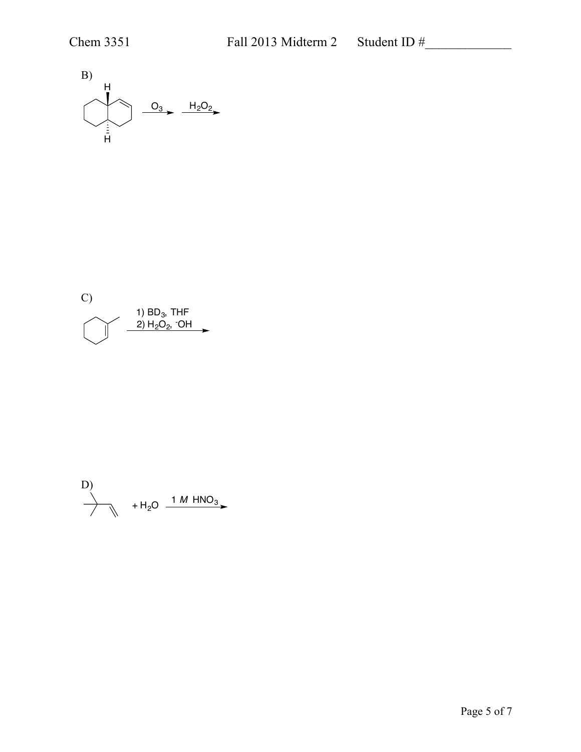



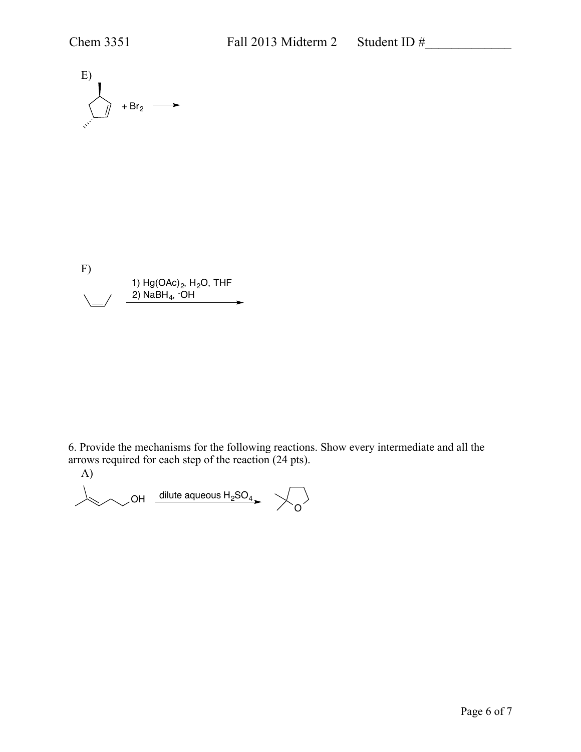

F) 1) Hg(OAc)2, H2O, THF 2) NaBH4, - OH

6. Provide the mechanisms for the following reactions. Show every intermediate and all the arrows required for each step of the reaction (24 pts).